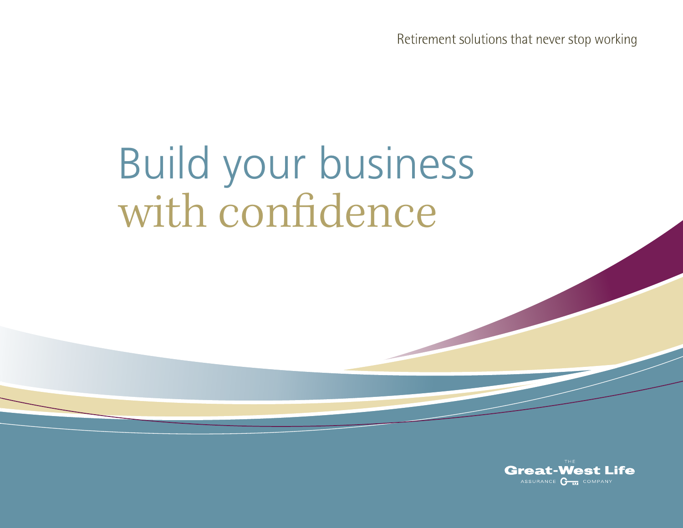Retirement solutions that never stop working

# Build your business with confidence

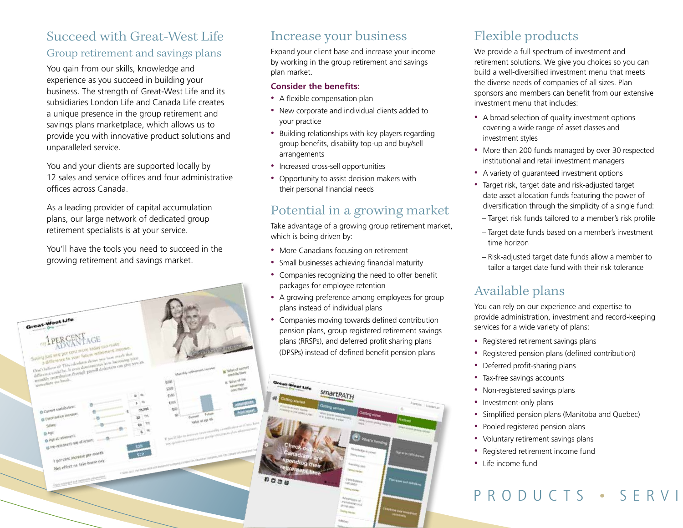# Succeed with Great-West Life

### Group retirement and savings plans

You gain from our skills, knowledge and experience as you succeed in building your business. The strength of Great-West Life and its subsidiaries London Life and Canada Life creates a unique presence in the group retirement and savings plans marketplace, which allows us to provide you with innovative product solutions and unparalleled service.

You and your clients are supported locally by 12 sales and service offices and four administrative offices across Canada.

As a leading provider of capital accumulation plans, our large network of dedicated group retirement specialists is at your service.

You'll have the tools you need to succeed in the growing retirement and savings market.

Great-West Life

## Increase your business

Expand your client base and increase your income by working in the group retirement and savings plan market.

#### **Consider the benefits:**

- A flexible compensation plan
- New corporate and individual clients added to your practice
- Building relationships with key players regarding group benefits, disability top-up and buy/sell arrangements
- Increased cross-sell opportunities
- Opportunity to assist decision makers with their personal financial needs

# Potential in a growing market

Take advantage of a growing group retirement market, which is being driven by:

- More Canadians focusing on retirement
- Small businesses achieving financial maturity
- Companies recognizing the need to offer benefit packages for employee retention
- A growing preference among employees for group plans instead of individual plans
- Companies moving towards defined contribution pension plans, group registered retirement savings plans (RRSPs), and deferred profit sharing plans (DPSPs) instead of defined benefit pension plans



# Flexible products

We provide a full spectrum of investment and retirement solutions. We give you choices so you can build a well-diversified investment menu that meets the diverse needs of companies of all sizes. Plan sponsors and members can benefit from our extensive investment menu that includes:

- A broad selection of quality investment options covering a wide range of asset classes and investment styles
- More than 200 funds managed by over 30 respected institutional and retail investment managers
- A variety of guaranteed investment options
- Target risk, target date and risk-adjusted target date asset allocation funds featuring the power of diversification through the simplicity of a single fund:
	- Target risk funds tailored to a member's risk profile
	- Target date funds based on a member's investment time horizon
- Risk-adjusted target date funds allow a member to tailor a target date fund with their risk tolerance

# Available plans

You can rely on our experience and expertise to provide administration, investment and record-keeping services for a wide variety of plans:

- Registered retirement savings plans
- Registered pension plans (defined contribution)
- Deferred profit-sharing plans
- Tax-free savings accounts
- Non-registered savings plans
- Investment-only plans
- Simplified pension plans (Manitoba and Quebec)
- Pooled registered pension plans
- Voluntary retirement savings plans
- Registered retirement income fund
- Life income fund

# PRODUCTS • SERVI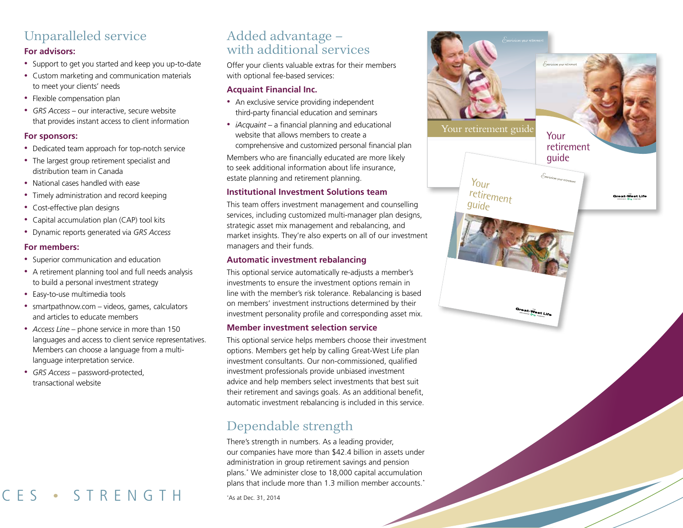# Unparalleled service

#### **For advisors:**

- Support to get you started and keep you up-to-date
- Custom marketing and communication materials to meet your clients' needs
- Flexible compensation plan
- *GRS Access* our interactive, secure website that provides instant access to client information

#### **For sponsors:**

- Dedicated team approach for top-notch service
- The largest group retirement specialist and distribution team in Canada
- National cases handled with ease
- Timely administration and record keeping
- Cost-effective plan designs
- Capital accumulation plan (CAP) tool kits
- Dynamic reports generated via *GRS Access*

#### **For members:**

- Superior communication and education
- A retirement planning tool and full needs analysis to build a personal investment strategy
- Easy-to-use multimedia tools
- smartpathnow.comvideos, games, calculators and articles to educate members
- *Access Line* phone service in more than 150 languages and access to client service representatives. Members can choose a language from a multilanguage interpretation service.
- *GRS Access* password-protected, transactional website

# CFS • STRENGTH

## Added advantage – with additional services

Offer your clients valuable extras for their members with optional fee-based services:

#### **Acquaint Financial Inc.**

- An exclusive service providing independent third-party financial education and seminars
- *iAcquaint* a financial planning and educational website that allows members to create a comprehensive and customized personal financial plan

Members who are financially educated are more likely to seek additional information about life insurance, estate planning and retirement planning.

#### **Institutional Investment Solutions team**

This team offers investment management and counselling services, including customized multi-manager plan designs, strategic asset mix management and rebalancing, and market insights. They're also experts on all of our investment managers and their funds.

#### **Automatic investment rebalancing**

This optional service automatically re-adjusts a member's investments to ensure the investment options remain in line with the member's risk tolerance. Rebalancing is based on members' investment instructions determined by their investment personality profile and corresponding asset mix.

#### **Member investment selection service**

This optional service helps members choose their investment options. Members get help by calling Great-West Life plan investment consultants. Our non-commissioned, qualified investment professionals provide unbiased investment advice and help members select investments that best suit their retirement and savings goals. As an additional benefit, automatic investment rebalancing is included in this service.

# Dependable strength

There's strength in numbers. As a leading provider, our companies have more than \$42.4 billion in assets under administration in group retirement savings and pension plans.\* We administer close to 18,000 capital accumulation plans that include more than 1.3 million member accounts.\*

\* As at Dec. 31, 2014